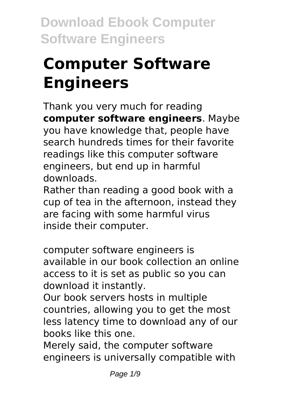# **Computer Software Engineers**

Thank you very much for reading **computer software engineers**. Maybe you have knowledge that, people have search hundreds times for their favorite readings like this computer software engineers, but end up in harmful downloads.

Rather than reading a good book with a cup of tea in the afternoon, instead they are facing with some harmful virus inside their computer.

computer software engineers is available in our book collection an online access to it is set as public so you can download it instantly.

Our book servers hosts in multiple countries, allowing you to get the most less latency time to download any of our books like this one.

Merely said, the computer software engineers is universally compatible with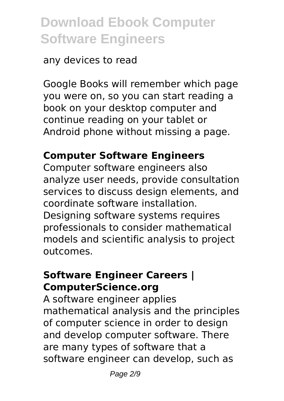#### any devices to read

Google Books will remember which page you were on, so you can start reading a book on your desktop computer and continue reading on your tablet or Android phone without missing a page.

# **Computer Software Engineers**

Computer software engineers also analyze user needs, provide consultation services to discuss design elements, and coordinate software installation. Designing software systems requires professionals to consider mathematical models and scientific analysis to project outcomes.

#### **Software Engineer Careers | ComputerScience.org**

A software engineer applies mathematical analysis and the principles of computer science in order to design and develop computer software. There are many types of software that a software engineer can develop, such as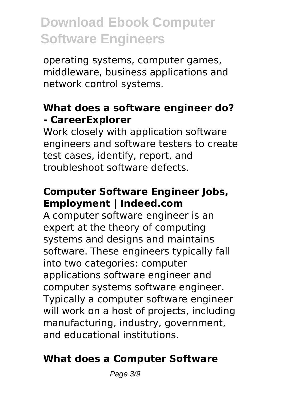operating systems, computer games, middleware, business applications and network control systems.

## **What does a software engineer do? ‐ CareerExplorer**

Work closely with application software engineers and software testers to create test cases, identify, report, and troubleshoot software defects.

## **Computer Software Engineer Jobs, Employment | Indeed.com**

A computer software engineer is an expert at the theory of computing systems and designs and maintains software. These engineers typically fall into two categories: computer applications software engineer and computer systems software engineer. Typically a computer software engineer will work on a host of projects, including manufacturing, industry, government, and educational institutions.

# **What does a Computer Software**

Page 3/9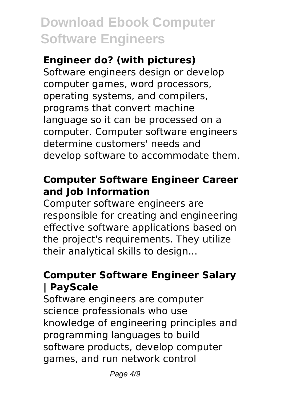### **Engineer do? (with pictures)**

Software engineers design or develop computer games, word processors, operating systems, and compilers, programs that convert machine language so it can be processed on a computer. Computer software engineers determine customers' needs and develop software to accommodate them.

## **Computer Software Engineer Career and Job Information**

Computer software engineers are responsible for creating and engineering effective software applications based on the project's requirements. They utilize their analytical skills to design...

# **Computer Software Engineer Salary | PayScale**

Software engineers are computer science professionals who use knowledge of engineering principles and programming languages to build software products, develop computer games, and run network control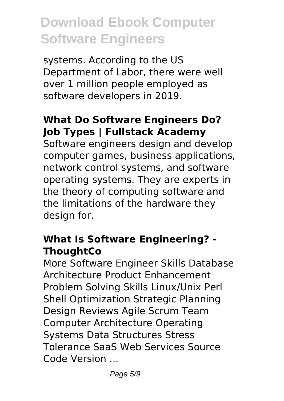systems. According to the US Department of Labor, there were well over 1 million people employed as software developers in 2019.

#### **What Do Software Engineers Do? Job Types | Fullstack Academy**

Software engineers design and develop computer games, business applications, network control systems, and software operating systems. They are experts in the theory of computing software and the limitations of the hardware they design for.

#### **What Is Software Engineering? - ThoughtCo**

More Software Engineer Skills Database Architecture Product Enhancement Problem Solving Skills Linux/Unix Perl Shell Optimization Strategic Planning Design Reviews Agile Scrum Team Computer Architecture Operating Systems Data Structures Stress Tolerance SaaS Web Services Source Code Version ...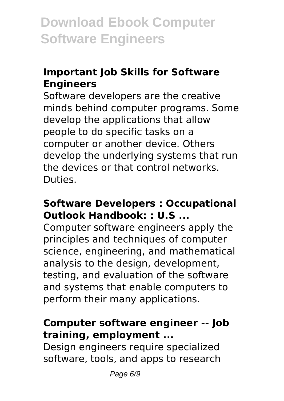# **Important Job Skills for Software Engineers**

Software developers are the creative minds behind computer programs. Some develop the applications that allow people to do specific tasks on a computer or another device. Others develop the underlying systems that run the devices or that control networks. Duties.

#### **Software Developers : Occupational Outlook Handbook: : U.S ...**

Computer software engineers apply the principles and techniques of computer science, engineering, and mathematical analysis to the design, development, testing, and evaluation of the software and systems that enable computers to perform their many applications.

#### **Computer software engineer -- Job training, employment ...**

Design engineers require specialized software, tools, and apps to research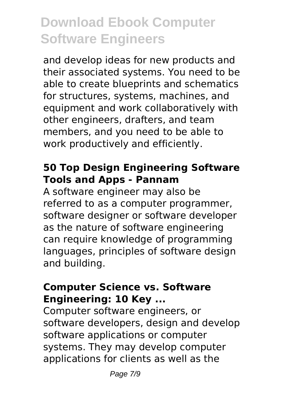and develop ideas for new products and their associated systems. You need to be able to create blueprints and schematics for structures, systems, machines, and equipment and work collaboratively with other engineers, drafters, and team members, and you need to be able to work productively and efficiently.

#### **50 Top Design Engineering Software Tools and Apps - Pannam**

A software engineer may also be referred to as a computer programmer, software designer or software developer as the nature of software engineering can require knowledge of programming languages, principles of software design and building.

#### **Computer Science vs. Software Engineering: 10 Key ...**

Computer software engineers, or software developers, design and develop software applications or computer systems. They may develop computer applications for clients as well as the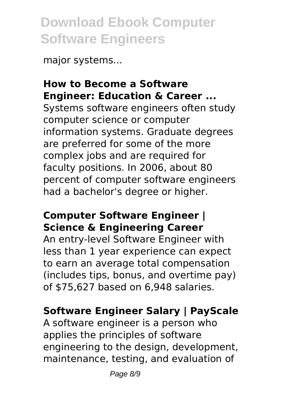major systems...

### **How to Become a Software Engineer: Education & Career ...**

Systems software engineers often study computer science or computer information systems. Graduate degrees are preferred for some of the more complex jobs and are required for faculty positions. In 2006, about 80 percent of computer software engineers had a bachelor's degree or higher.

#### **Computer Software Engineer | Science & Engineering Career**

An entry-level Software Engineer with less than 1 year experience can expect to earn an average total compensation (includes tips, bonus, and overtime pay) of \$75,627 based on 6,948 salaries.

# **Software Engineer Salary | PayScale**

A software engineer is a person who applies the principles of software engineering to the design, development, maintenance, testing, and evaluation of